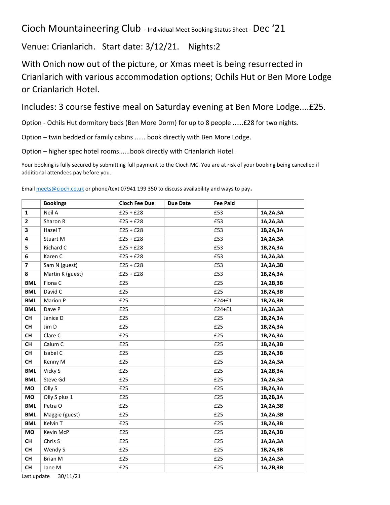## Cioch Mountaineering Club - Individual Meet Booking Status Sheet -Dec '21

Venue: Crianlarich. Start date: 3/12/21. Nights:2

With Onich now out of the picture, or Xmas meet is being resurrected in Crianlarich with various accommodation options; Ochils Hut or Ben More Lodge or Crianlarich Hotel.

Includes: 3 course festive meal on Saturday evening at Ben More Lodge....£25.

Option - Ochils Hut dormitory beds (Ben More Dorm) for up to 8 people ......£28 for two nights.

Option – twin bedded or family cabins ...... book directly with Ben More Lodge.

Option – higher spec hotel rooms......book directly with Crianlarich Hotel.

Your [booking is fully secured](mailto:meets@cioch.co.uk) by submitting full payment to the Cioch MC. You are at risk of your booking being cancelled if additional attendees pay before you.

|                | <b>Bookings</b>  | <b>Cioch Fee Due</b> | <b>Due Date</b> | <b>Fee Paid</b> |          |
|----------------|------------------|----------------------|-----------------|-----------------|----------|
| $\mathbf{1}$   | Neil A           | $£25 + £28$          |                 | £53             | 1A,2A,3A |
| $\overline{2}$ | Sharon R         | $£25 + £28$          |                 | £53             | 1A,2A,3A |
| 3              | Hazel T          | $£25 + £28$          |                 | £53             | 1B,2A,3A |
| 4              | Stuart M         | $£25 + £28$          |                 | £53             | 1A,2A,3A |
| 5              | Richard C        | $£25 + £28$          |                 | £53             | 1B,2A,3A |
| 6              | Karen C          | $£25 + £28$          |                 | £53             | 1A,2A,3A |
| $\overline{7}$ | Sam N (guest)    | $£25 + £28$          |                 | £53             | 1A,2A,3B |
| 8              | Martin K (guest) | $£25 + £28$          |                 | £53             | 1B,2A,3A |
| <b>BML</b>     | Fiona C          | £25                  |                 | £25             | 1A,2B,3B |
| <b>BML</b>     | David C          | £25                  |                 | £25             | 1B,2A,3B |
| <b>BML</b>     | Marion P         | £25                  |                 | £24+£1          | 1B,2A,3B |
| <b>BML</b>     | Dave P           | £25                  |                 | £24+£1          | 1A,2A,3A |
| <b>CH</b>      | Janice D         | £25                  |                 | £25             | 1B,2A,3A |
| <b>CH</b>      | Jim D            | £25                  |                 | £25             | 1B,2A,3A |
| <b>CH</b>      | Clare C          | £25                  |                 | £25             | 1B,2A,3A |
| <b>CH</b>      | Calum C          | £25                  |                 | £25             | 1B,2A,3B |
| <b>CH</b>      | Isabel C         | £25                  |                 | £25             | 1B,2A,3B |
| <b>CH</b>      | Kenny M          | £25                  |                 | £25             | 1A,2A,3A |
| <b>BML</b>     | Vicky S          | £25                  |                 | £25             | 1A,2B,3A |
| <b>BML</b>     | Steve Gd         | £25                  |                 | £25             | 1A,2A,3A |
| MO             | Olly S           | £25                  |                 | £25             | 1B,2A,3A |
| MO             | Olly S plus 1    | £25                  |                 | £25             | 1B,2B,3A |
| <b>BML</b>     | Petra O          | £25                  |                 | £25             | 1A,2A,3B |
| <b>BML</b>     | Maggie (guest)   | £25                  |                 | £25             | 1A,2A,3B |
| <b>BML</b>     | Kelvin T         | £25                  |                 | £25             | 1B,2A,3B |
| MO             | Kevin McP        | £25                  |                 | £25             | 1B,2A,3B |
| <b>CH</b>      | Chris S          | £25                  |                 | £25             | 1A,2A,3A |
| <b>CH</b>      | Wendy S          | £25                  |                 | £25             | 1B,2A,3B |
| CH             | <b>Brian M</b>   | £25                  |                 | £25             | 1A,2A,3A |
| <b>CH</b>      | Jane M           | £25                  |                 | £25             | 1A,2B,3B |

Email meets@cioch.co.uk or phone/text 07941 199 350 to discuss availability and ways to pay.

Last update 30/11/21